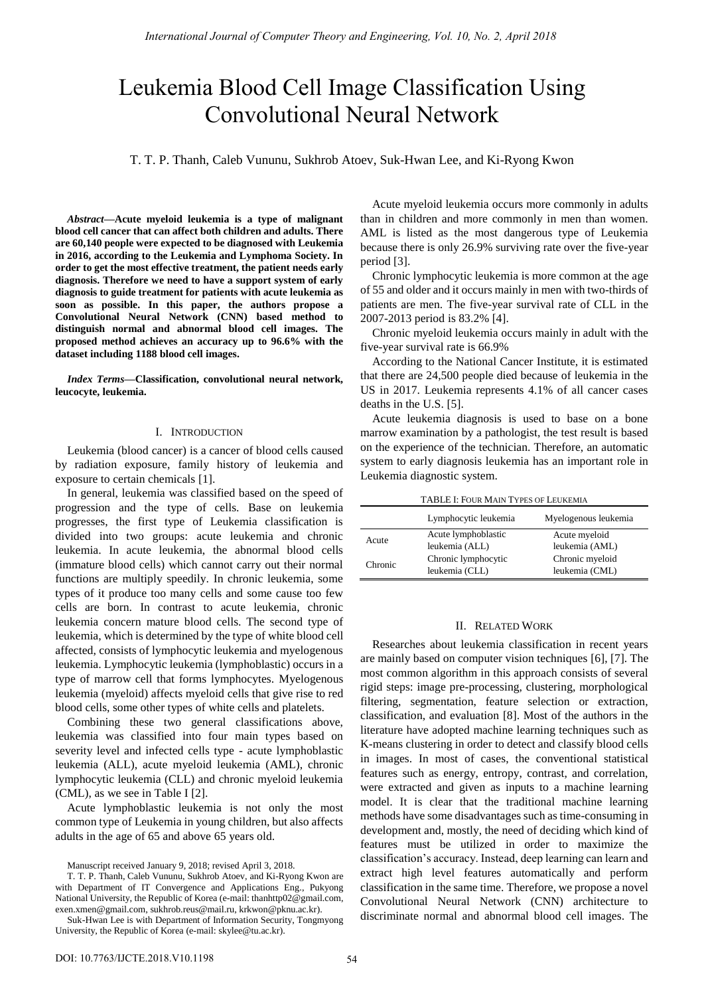# Leukemia Blood Cell Image Classification Using Convolutional Neural Network

T. T. P. Thanh, Caleb Vununu, Sukhrob Atoev, Suk-Hwan Lee, and Ki-Ryong Kwon

*Abstract***—Acute myeloid leukemia is a type of malignant blood cell cancer that can affect both children and adults. There are 60,140 people were expected to be diagnosed with Leukemia in 2016, according to the Leukemia and Lymphoma Society. In order to get the most effective treatment, the patient needs early diagnosis. Therefore we need to have a support system of early diagnosis to guide treatment for patients with acute leukemia as soon as possible. In this paper, the authors propose a Convolutional Neural Network (CNN) based method to distinguish normal and abnormal blood cell images. The proposed method achieves an accuracy up to 96.6% with the dataset including 1188 blood cell images.** 

*Index Terms***—Classification, convolutional neural network, leucocyte, leukemia.** 

## I. INTRODUCTION

Leukemia (blood cancer) is a cancer of blood cells caused by radiation exposure, family history of leukemia and exposure to certain chemicals [1].

In general, leukemia was classified based on the speed of progression and the type of cells. Base on leukemia progresses, the first type of Leukemia classification is divided into two groups: acute leukemia and chronic leukemia. In acute leukemia, the abnormal blood cells (immature blood cells) which cannot carry out their normal functions are multiply speedily. In chronic leukemia, some types of it produce too many cells and some cause too few cells are born. In contrast to acute leukemia, chronic leukemia concern mature blood cells. The second type of leukemia, which is determined by the type of white blood cell affected, consists of lymphocytic leukemia and myelogenous leukemia. Lymphocytic leukemia (lymphoblastic) occurs in a type of marrow cell that forms lymphocytes. Myelogenous leukemia (myeloid) affects myeloid cells that give rise to red blood cells, some other types of white cells and platelets.

Combining these two general classifications above, leukemia was classified into four main types based on severity level and infected cells type - acute lymphoblastic leukemia (ALL), acute myeloid leukemia (AML), chronic lymphocytic leukemia (CLL) and chronic myeloid leukemia (CML), as we see in Table I [2].

Acute lymphoblastic leukemia is not only the most common type of Leukemia in young children, but also affects adults in the age of 65 and above 65 years old.

Manuscript received January 9, 2018; revised April 3, 2018.

Acute myeloid leukemia occurs more commonly in adults than in children and more commonly in men than women. AML is listed as the most dangerous type of Leukemia because there is only 26.9% surviving rate over the five-year period [3].

Chronic lymphocytic leukemia is more common at the age of 55 and older and it occurs mainly in men with two-thirds of patients are men. The five-year survival rate of CLL in the 2007-2013 period is 83.2% [4].

Chronic myeloid leukemia occurs mainly in adult with the five-year survival rate is 66.9%

According to the National Cancer Institute, it is estimated that there are 24,500 people died because of leukemia in the US in 2017. Leukemia represents 4.1% of all cancer cases deaths in the U.S. [5].

Acute leukemia diagnosis is used to base on a bone marrow examination by a pathologist, the test result is based on the experience of the technician. Therefore, an automatic system to early diagnosis leukemia has an important role in Leukemia diagnostic system.

| TABLE I: FOUR MAIN TYPES OF LEUKEMIA |                      |                      |  |  |
|--------------------------------------|----------------------|----------------------|--|--|
|                                      | Lymphocytic leukemia | Myelogenous leukemia |  |  |
| Acute                                | Acute lymphoblastic  | Acute myeloid        |  |  |
|                                      | leukemia (ALL)       | leukemia (AML)       |  |  |
| Chronic                              | Chronic lymphocytic  | Chronic myeloid      |  |  |
|                                      | leukemia (CLL)       | leukemia (CML)       |  |  |

# II. RELATED WORK

Researches about leukemia classification in recent years are mainly based on computer vision techniques [6], [7]. The most common algorithm in this approach consists of several rigid steps: image pre-processing, clustering, morphological filtering, segmentation, feature selection or extraction, classification, and evaluation [8]. Most of the authors in the literature have adopted machine learning techniques such as K-means clustering in order to detect and classify blood cells in images. In most of cases, the conventional statistical features such as energy, entropy, contrast, and correlation, were extracted and given as inputs to a machine learning model. It is clear that the traditional machine learning methods have some disadvantages such as time-consuming in development and, mostly, the need of deciding which kind of features must be utilized in order to maximize the classification's accuracy. Instead, deep learning can learn and extract high level features automatically and perform classification in the same time. Therefore, we propose a novel Convolutional Neural Network (CNN) architecture to discriminate normal and abnormal blood cell images. The

T. T. P. Thanh, Caleb Vununu, Sukhrob Atoev, and Ki-Ryong Kwon are with Department of IT Convergence and Applications Eng., Pukyong National University, the Republic of Korea (e-mail: thanhttp02@gmail.com, exen.xmen@gmail.com, sukhrob.reus@mail.ru, krkwon@pknu.ac.kr).

Suk-Hwan Lee is with Department of Information Security, Tongmyong University, the Republic of Korea (e-mail: skylee@tu.ac.kr).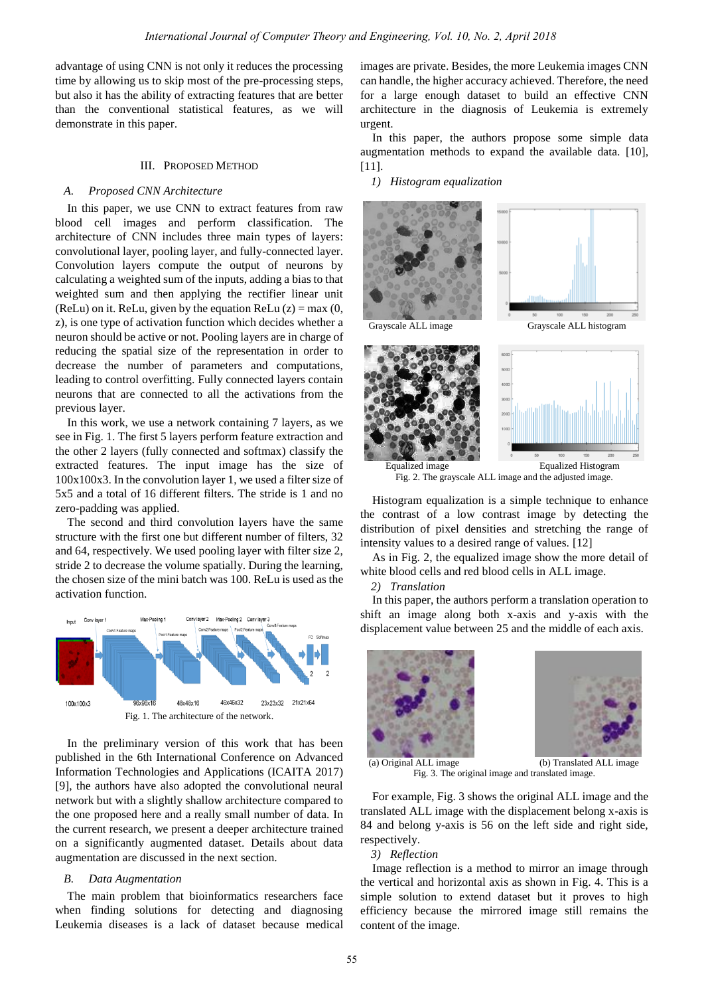advantage of using CNN is not only it reduces the processing time by allowing us to skip most of the pre-processing steps, but also it has the ability of extracting features that are better than the conventional statistical features, as we will demonstrate in this paper.

## III. PROPOSED METHOD

### *A. Proposed CNN Architecture*

In this paper, we use CNN to extract features from raw blood cell images and perform classification. The architecture of CNN includes three main types of layers: convolutional layer, pooling layer, and fully-connected layer. Convolution layers compute the output of neurons by calculating a weighted sum of the inputs, adding a bias to that weighted sum and then applying the rectifier linear unit (ReLu) on it. ReLu, given by the equation ReLu  $(z) = max(0,$ z), is one type of activation function which decides whether a neuron should be active or not. Pooling layers are in charge of reducing the spatial size of the representation in order to decrease the number of parameters and computations, leading to control overfitting. Fully connected layers contain neurons that are connected to all the activations from the previous layer.

In this work, we use a network containing 7 layers, as we see in Fig. 1. The first 5 layers perform feature extraction and the other 2 layers (fully connected and softmax) classify the extracted features. The input image has the size of 100x100x3. In the convolution layer 1, we used a filter size of 5x5 and a total of 16 different filters. The stride is 1 and no zero-padding was applied.

The second and third convolution layers have the same structure with the first one but different number of filters, 32 and 64, respectively. We used pooling layer with filter size 2, stride 2 to decrease the volume spatially. During the learning, the chosen size of the mini batch was 100. ReLu is used as the activation function.



In the preliminary version of this work that has been published in the 6th International Conference on Advanced Information Technologies and Applications (ICAITA 2017) [9], the authors have also adopted the convolutional neural network but with a slightly shallow architecture compared to the one proposed here and a really small number of data. In the current research, we present a deeper architecture trained on a significantly augmented dataset. Details about data augmentation are discussed in the next section.

#### *B. Data Augmentation*

The main problem that bioinformatics researchers face when finding solutions for detecting and diagnosing Leukemia diseases is a lack of dataset because medical images are private. Besides, the more Leukemia images CNN can handle, the higher accuracy achieved. Therefore, the need for a large enough dataset to build an effective CNN architecture in the diagnosis of Leukemia is extremely urgent.

In this paper, the authors propose some simple data augmentation methods to expand the available data. [10], [11].

*1) Histogram equalization*



Fig. 2. The grayscale ALL image and the adjusted image.

Histogram equalization is a simple technique to enhance the contrast of a low contrast image by detecting the distribution of pixel densities and stretching the range of intensity values to a desired range of values. [12]

As in Fig. 2, the equalized image show the more detail of white blood cells and red blood cells in ALL image.

*2) Translation*

In this paper, the authors perform a translation operation to shift an image along both x-axis and y-axis with the displacement value between 25 and the middle of each axis.





Fig. 3. The original image and translated image.

For example, Fig. 3 shows the original ALL image and the translated ALL image with the displacement belong x-axis is 84 and belong y-axis is 56 on the left side and right side, respectively.

## *3) Reflection*

Image reflection is a method to mirror an image through the vertical and horizontal axis as shown in Fig. 4. This is a simple solution to extend dataset but it proves to high efficiency because the mirrored image still remains the content of the image.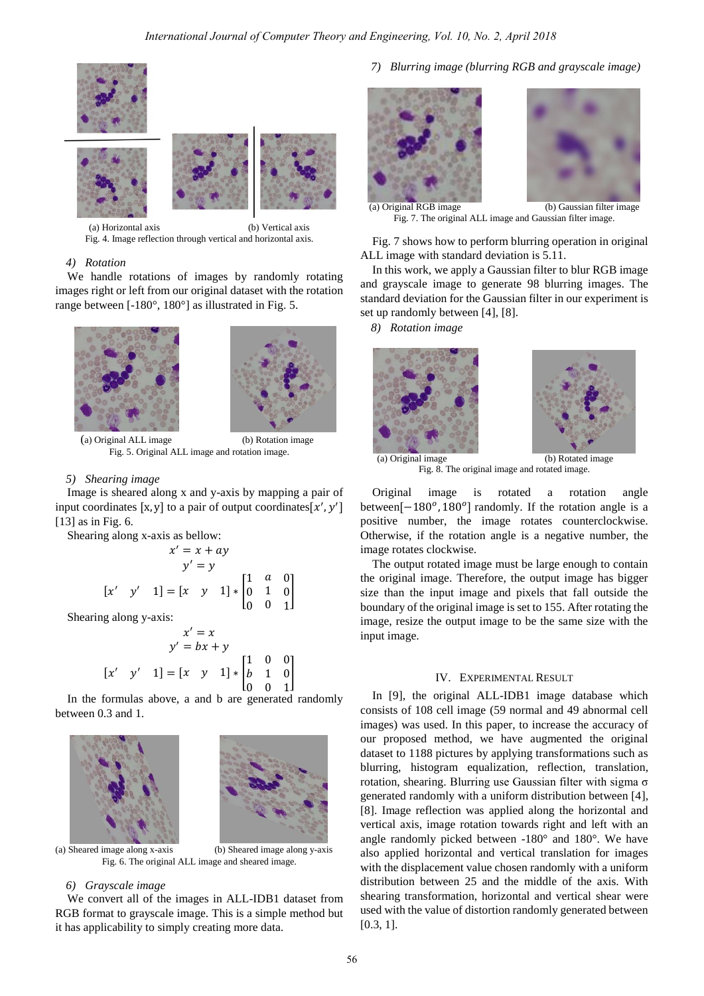



(a) Horizontal axis (b) Vertical axis Fig. 4. Image reflection through vertical and horizontal axis.

# *4) Rotation*

We handle rotations of images by randomly rotating images right or left from our original dataset with the rotation range between  $[-180^\circ, 180^\circ]$  as illustrated in Fig. 5.



 (a) Original ALL image (b) Rotation image Fig. 5. Original ALL image and rotation image.

#### *5) Shearing image*

Image is sheared along x and y-axis by mapping a pair of input coordinates [x, y] to a pair of output coordinates [x', y'] [13] as in Fig. 6.

Shearing along x-axis as bellow:

$$
x' = x + ay
$$
  
y' = y  

$$
[x' \quad y' \quad 1] = [x \quad y \quad 1] * \begin{bmatrix} 1 & a & 0 \\ 0 & 1 & 0 \\ 0 & 0 & 1 \end{bmatrix}
$$

Shearing along y-axis:

$$
x' = x
$$
  
\n
$$
y' = bx + y
$$
  
\n
$$
[x' \quad y' \quad 1] = [x \quad y \quad 1] * \begin{bmatrix} 1 & 0 & 0 \\ b & 1 & 0 \\ 0 & 0 & 1 \end{bmatrix}
$$

In the formulas above, a and b are generated randomly between 0.3 and 1.



(a) Sheared image along x-axis (b) Sheared image along y-axis Fig. 6. The original ALL image and sheared image.

## *6) Grayscale image*

We convert all of the images in ALL-IDB1 dataset from RGB format to grayscale image. This is a simple method but it has applicability to simply creating more data.

*7) Blurring image (blurring RGB and grayscale image)* 





Fig. 7. The original ALL image and Gaussian filter image.

Fig. 7 shows how to perform blurring operation in original ALL image with standard deviation is 5.11.

In this work, we apply a Gaussian filter to blur RGB image and grayscale image to generate 98 blurring images. The standard deviation for the Gaussian filter in our experiment is set up randomly between [4], [8].

*8) Rotation image* 



Fig. 8. The original image and rotated image.

Original image is rotated a rotation angle between  $[-180^{\circ}, 180^{\circ}]$  randomly. If the rotation angle is a positive number, the image rotates counterclockwise. Otherwise, if the rotation angle is a negative number, the image rotates clockwise.

The output rotated image must be large enough to contain the original image. Therefore, the output image has bigger size than the input image and pixels that fall outside the boundary of the original image is set to 155. After rotating the image, resize the output image to be the same size with the input image.

# IV. EXPERIMENTAL RESULT

In [9], the original ALL-IDB1 image database which consists of 108 cell image (59 normal and 49 abnormal cell images) was used. In this paper, to increase the accuracy of our proposed method, we have augmented the original dataset to 1188 pictures by applying transformations such as blurring, histogram equalization, reflection, translation, rotation, shearing. Blurring use Gaussian filter with sigma σ generated randomly with a uniform distribution between [4], [8]. Image reflection was applied along the horizontal and vertical axis, image rotation towards right and left with an angle randomly picked between -180° and 180°. We have also applied horizontal and vertical translation for images with the displacement value chosen randomly with a uniform distribution between 25 and the middle of the axis. With shearing transformation, horizontal and vertical shear were used with the value of distortion randomly generated between [0.3, 1].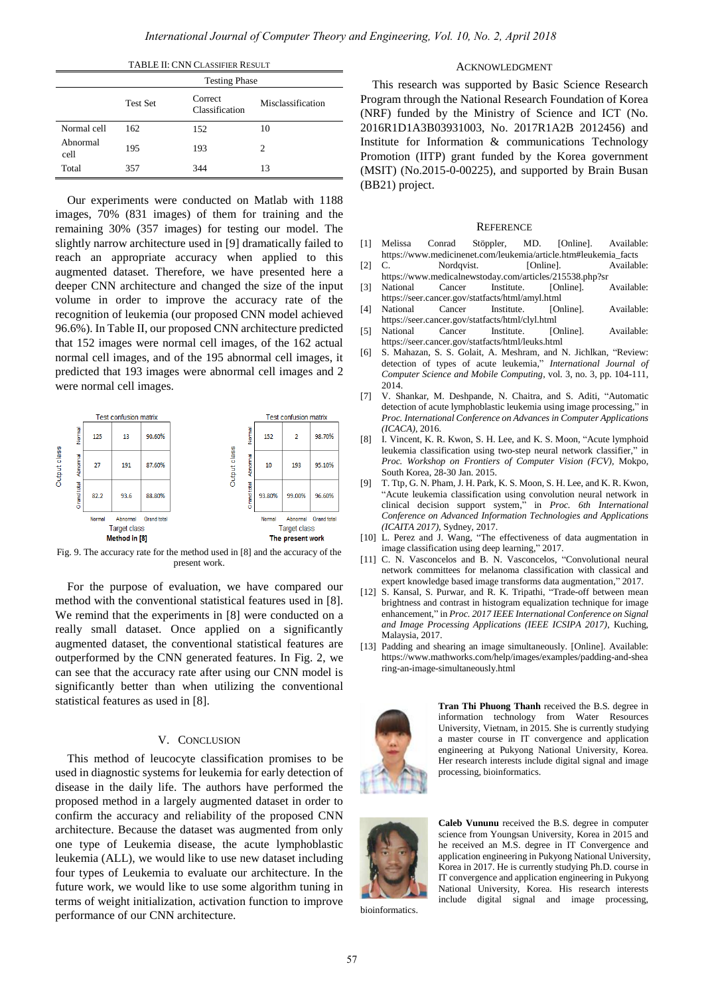|                  |                      | <b>TABLE II: CNN CLASSIFIER RESULT</b> |                   |  |
|------------------|----------------------|----------------------------------------|-------------------|--|
|                  | <b>Testing Phase</b> |                                        |                   |  |
|                  | <b>Test Set</b>      | Correct<br>Classification              | Misclassification |  |
| Normal cell      | 162                  | 152                                    | 10                |  |
| Abnormal<br>cell | 195                  | 193                                    | $\mathfrak{D}$    |  |
| Total            | 357                  | 344                                    | 13                |  |

Our experiments were conducted on Matlab with 1188 images, 70% (831 images) of them for training and the remaining 30% (357 images) for testing our model. The slightly narrow architecture used in [9] dramatically failed to reach an appropriate accuracy when applied to this augmented dataset. Therefore, we have presented here a deeper CNN architecture and changed the size of the input volume in order to improve the accuracy rate of the recognition of leukemia (our proposed CNN model achieved 96.6%). In Table II, our proposed CNN architecture predicted that 152 images were normal cell images, of the 162 actual normal cell images, and of the 195 abnormal cell images, it predicted that 193 images were abnormal cell images and 2 were normal cell images.



Fig. 9. The accuracy rate for the method used in [8] and the accuracy of the present work.

For the purpose of evaluation, we have compared our method with the conventional statistical features used in [8]. We remind that the experiments in [8] were conducted on a really small dataset. Once applied on a significantly augmented dataset, the conventional statistical features are outperformed by the CNN generated features. In Fig. 2, we can see that the accuracy rate after using our CNN model is significantly better than when utilizing the conventional statistical features as used in [8].

# V. CONCLUSION

This method of leucocyte classification promises to be used in diagnostic systems for leukemia for early detection of disease in the daily life. The authors have performed the proposed method in a largely augmented dataset in order to confirm the accuracy and reliability of the proposed CNN architecture. Because the dataset was augmented from only one type of Leukemia disease, the [acute lymphoblastic](https://en.wikipedia.org/wiki/Acute_lymphoblastic_leukemia)  [leukemia \(](https://en.wikipedia.org/wiki/Acute_lymphoblastic_leukemia)ALL), we would like to use new dataset including four types of Leukemia to evaluate our architecture. In the future work, we would like to use some algorithm tuning in terms of weight initialization, activation function to improve performance of our CNN architecture.

### ACKNOWLEDGMENT

This research was supported by Basic Science Research Program through the National Research Foundation of Korea (NRF) funded by the Ministry of Science and ICT (No. 2016R1D1A3B03931003, No. 2017R1A2B 2012456) and Institute for Information & communications Technology Promotion (IITP) grant funded by the Korea government (MSIT) (No.2015-0-00225), and supported by Brain Busan (BB21) project.

#### **REFERENCE**

- [1] Melissa Conrad Stöppler, MD. [Online]. Available: https://www.medicinenet.com/leukemia/article.htm#leukemia\_facts
- [2] C. Nordqvist. [Online]. Available: https://www.medicalnewstoday.com/articles/215538.php?sr
- [3] National Cancer Institute. [Online]. Available: https://seer.cancer.gov/statfacts/html/amyl.html
- [4] National Cancer Institute. [Online]. Available: https://seer.cancer.gov/statfacts/html/clyl.html
- [5] National Cancer Institute. [Online]. Available: https://seer.cancer.gov/statfacts/html/leuks.html
- [6] S. Mahazan, S. S. Golait, A. Meshram, and N. Jichlkan, "Review: detection of types of acute leukemia," *International Journal of Computer Science and Mobile Computing*, vol. 3, no. 3, pp. 104-111, 2014.
- [7] V. Shankar, M. Deshpande, N. Chaitra, and S. Aditi, "Automatic detection of acute lymphoblastic leukemia using image processing," in *Proc. International Conference on Advances in Computer Applications (ICACA)*, 2016.
- [8] I. Vincent, K. R. Kwon, S. H. Lee, and K. S. Moon, "Acute lymphoid leukemia classification using two-step neural network classifier," in *Proc. Workshop on Frontiers of Computer Vision (FCV),* Mokpo, South Korea, 28-30 Jan. 2015.
- T. Ttp, G. N. Pham, J. H. Park, K. S. Moon, S. H. Lee, and K. R. Kwon, "Acute leukemia classification using convolution neural network in clinical decision support system," in *Proc. 6th International Conference on Advanced Information Technologies and Applications (ICAITA 2017)*, Sydney, 2017.
- [10] L. Perez and J. Wang, "The effectiveness of data augmentation in image classification using deep learning," 2017.
- [11] C. N. Vasconcelos and B. N. Vasconcelos, "Convolutional neural network committees for melanoma classification with classical and expert knowledge based image transforms data augmentation," 2017.
- [12] S. Kansal, S. Purwar, and R. K. Tripathi, "Trade-off between mean brightness and contrast in histogram equalization technique for image enhancement," in *Proc. 2017 IEEE International Conference on Signal and Image Processing Applications (IEEE ICSIPA 2017)*, Kuching, Malaysia, 2017.
- [13] Padding and shearing an image simultaneously. [Online]. Available: https://www.mathworks.com/help/images/examples/padding-and-shea ring-an-image-simultaneously.html



**Tran Thi Phuong Thanh** received the B.S. degree in information technology from Water Resources University, Vietnam, in 2015. She is currently studying a master course in IT convergence and application engineering at Pukyong National University, Korea. Her research interests include digital signal and image processing, bioinformatics.



bioinformatics.

**Caleb Vununu** received the B.S. degree in computer science from Youngsan University, Korea in 2015 and he received an M.S. degree in IT Convergence and application engineering in Pukyong National University, Korea in 2017. He is currently studying Ph.D. course in IT convergence and application engineering in Pukyong National University, Korea. His research interests include digital signal and image processing,